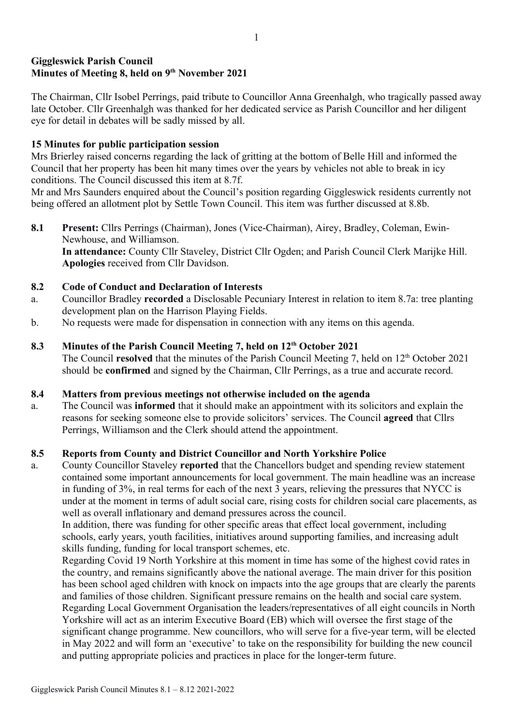# Giggleswick Parish Council Minutes of Meeting 8, held on 9<sup>th</sup> November 2021

The Chairman, Cllr Isobel Perrings, paid tribute to Councillor Anna Greenhalgh, who tragically passed away late October. Cllr Greenhalgh was thanked for her dedicated service as Parish Councillor and her diligent eye for detail in debates will be sadly missed by all.

## 15 Minutes for public participation session

Mrs Brierley raised concerns regarding the lack of gritting at the bottom of Belle Hill and informed the Council that her property has been hit many times over the years by vehicles not able to break in icy conditions. The Council discussed this item at 8.7f.

Mr and Mrs Saunders enquired about the Council's position regarding Giggleswick residents currently not being offered an allotment plot by Settle Town Council. This item was further discussed at 8.8b.

8.1 Present: Cllrs Perrings (Chairman), Jones (Vice-Chairman), Airey, Bradley, Coleman, Ewin-Newhouse, and Williamson. In attendance: County Cllr Staveley, District Cllr Ogden; and Parish Council Clerk Marijke Hill. Apologies received from Cllr Davidson.

### 8.2 Code of Conduct and Declaration of Interests

- a. Councillor Bradley recorded a Disclosable Pecuniary Interest in relation to item 8.7a: tree planting development plan on the Harrison Playing Fields.
- b. No requests were made for dispensation in connection with any items on this agenda.

### 8.3 Minutes of the Parish Council Meeting 7, held on 12<sup>th</sup> October 2021

The Council resolved that the minutes of the Parish Council Meeting 7, held on  $12<sup>th</sup>$  October 2021 should be confirmed and signed by the Chairman, Cllr Perrings, as a true and accurate record.

#### 8.4 Matters from previous meetings not otherwise included on the agenda

a. The Council was informed that it should make an appointment with its solicitors and explain the reasons for seeking someone else to provide solicitors' services. The Council agreed that Cllrs Perrings, Williamson and the Clerk should attend the appointment.

#### 8.5 Reports from County and District Councillor and North Yorkshire Police

a. County Councillor Staveley reported that the Chancellors budget and spending review statement contained some important announcements for local government. The main headline was an increase in funding of 3%, in real terms for each of the next 3 years, relieving the pressures that NYCC is under at the moment in terms of adult social care, rising costs for children social care placements, as well as overall inflationary and demand pressures across the council.

In addition, there was funding for other specific areas that effect local government, including schools, early years, youth facilities, initiatives around supporting families, and increasing adult skills funding, funding for local transport schemes, etc.

Regarding Covid 19 North Yorkshire at this moment in time has some of the highest covid rates in the country, and remains significantly above the national average. The main driver for this position has been school aged children with knock on impacts into the age groups that are clearly the parents and families of those children. Significant pressure remains on the health and social care system. Regarding Local Government Organisation the leaders/representatives of all eight councils in North Yorkshire will act as an interim Executive Board (EB) which will oversee the first stage of the significant change programme. New councillors, who will serve for a five-year term, will be elected in May 2022 and will form an 'executive' to take on the responsibility for building the new council and putting appropriate policies and practices in place for the longer-term future.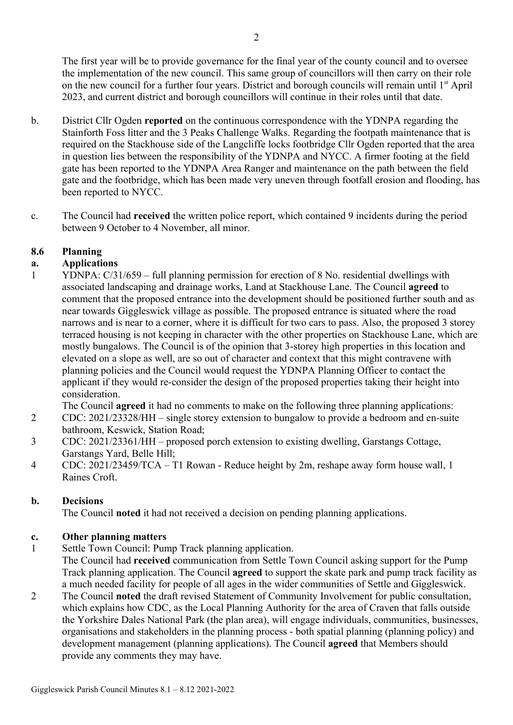The first year will be to provide governance for the final year of the county council and to oversee the implementation of the new council. This same group of councillors will then carry on their role on the new council for a further four years. District and borough councils will remain until 1<sup>st</sup> April 2023, and current district and borough councillors will continue in their roles until that date.

- b. District Cllr Ogden reported on the continuous correspondence with the YDNPA regarding the Stainforth Foss litter and the 3 Peaks Challenge Walks. Regarding the footpath maintenance that is required on the Stackhouse side of the Langcliffe locks footbridge Cllr Ogden reported that the area in question lies between the responsibility of the YDNPA and NYCC. A firmer footing at the field gate has been reported to the YDNPA Area Ranger and maintenance on the path between the field gate and the footbridge, which has been made very uneven through footfall erosion and flooding, has been reported to NYCC.
- c. The Council had received the written police report, which contained 9 incidents during the period between 9 October to 4 November, all minor.

## 8.6 Planning

# a. Applications

1 YDNPA: C/31/659 – full planning permission for erection of 8 No. residential dwellings with associated landscaping and drainage works, Land at Stackhouse Lane. The Council agreed to comment that the proposed entrance into the development should be positioned further south and as near towards Giggleswick village as possible. The proposed entrance is situated where the road narrows and is near to a corner, where it is difficult for two cars to pass. Also, the proposed 3 storey terraced housing is not keeping in character with the other properties on Stackhouse Lane, which are mostly bungalows. The Council is of the opinion that 3-storey high properties in this location and elevated on a slope as well, are so out of character and context that this might contravene with planning policies and the Council would request the YDNPA Planning Officer to contact the applicant if they would re-consider the design of the proposed properties taking their height into consideration.

The Council agreed it had no comments to make on the following three planning applications:

- 2 CDC: 2021/23328/HH single storey extension to bungalow to provide a bedroom and en-suite bathroom, Keswick, Station Road;
- 3 CDC: 2021/23361/HH proposed porch extension to existing dwelling, Garstangs Cottage, Garstangs Yard, Belle Hill;
- 4 CDC: 2021/23459/TCA T1 Rowan Reduce height by 2m, reshape away form house wall, 1 Raines Croft.

## b. Decisions

The Council noted it had not received a decision on pending planning applications.

## c. Other planning matters

- 1 Settle Town Council: Pump Track planning application. The Council had received communication from Settle Town Council asking support for the Pump Track planning application. The Council agreed to support the skate park and pump track facility as a much needed facility for people of all ages in the wider communities of Settle and Giggleswick.
- 2 The Council noted the draft revised Statement of Community Involvement for public consultation, which explains how CDC, as the Local Planning Authority for the area of Craven that falls outside the Yorkshire Dales National Park (the plan area), will engage individuals, communities, businesses, organisations and stakeholders in the planning process - both spatial planning (planning policy) and development management (planning applications). The Council agreed that Members should provide any comments they may have.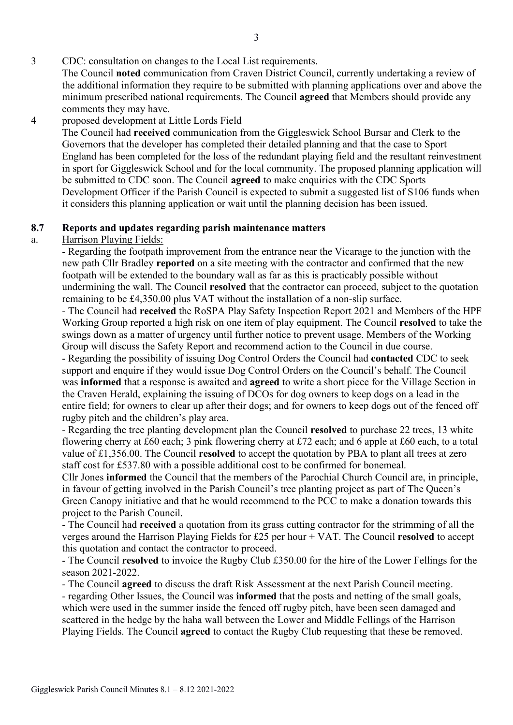# 3 CDC: consultation on changes to the Local List requirements.

The Council noted communication from Craven District Council, currently undertaking a review of the additional information they require to be submitted with planning applications over and above the minimum prescribed national requirements. The Council agreed that Members should provide any comments they may have.

### 4 proposed development at Little Lords Field

The Council had received communication from the Giggleswick School Bursar and Clerk to the Governors that the developer has completed their detailed planning and that the case to Sport England has been completed for the loss of the redundant playing field and the resultant reinvestment in sport for Giggleswick School and for the local community. The proposed planning application will be submitted to CDC soon. The Council agreed to make enquiries with the CDC Sports Development Officer if the Parish Council is expected to submit a suggested list of S106 funds when it considers this planning application or wait until the planning decision has been issued.

## 8.7 Reports and updates regarding parish maintenance matters

## a. Harrison Playing Fields:

- Regarding the footpath improvement from the entrance near the Vicarage to the junction with the new path Cllr Bradley reported on a site meeting with the contractor and confirmed that the new footpath will be extended to the boundary wall as far as this is practicably possible without undermining the wall. The Council resolved that the contractor can proceed, subject to the quotation remaining to be £4,350.00 plus VAT without the installation of a non-slip surface.

- The Council had received the RoSPA Play Safety Inspection Report 2021 and Members of the HPF Working Group reported a high risk on one item of play equipment. The Council resolved to take the swings down as a matter of urgency until further notice to prevent usage. Members of the Working Group will discuss the Safety Report and recommend action to the Council in due course.

- Regarding the possibility of issuing Dog Control Orders the Council had contacted CDC to seek support and enquire if they would issue Dog Control Orders on the Council's behalf. The Council was informed that a response is awaited and agreed to write a short piece for the Village Section in the Craven Herald, explaining the issuing of DCOs for dog owners to keep dogs on a lead in the entire field; for owners to clear up after their dogs; and for owners to keep dogs out of the fenced off rugby pitch and the children's play area.

- Regarding the tree planting development plan the Council resolved to purchase 22 trees, 13 white flowering cherry at £60 each; 3 pink flowering cherry at £72 each; and 6 apple at £60 each, to a total value of £1,356.00. The Council resolved to accept the quotation by PBA to plant all trees at zero staff cost for £537.80 with a possible additional cost to be confirmed for bonemeal.

Cllr Jones informed the Council that the members of the Parochial Church Council are, in principle, in favour of getting involved in the Parish Council's tree planting project as part of The Queen's Green Canopy initiative and that he would recommend to the PCC to make a donation towards this project to the Parish Council.

- The Council had received a quotation from its grass cutting contractor for the strimming of all the verges around the Harrison Playing Fields for £25 per hour  $+$  VAT. The Council resolved to accept this quotation and contact the contractor to proceed.

- The Council resolved to invoice the Rugby Club £350.00 for the hire of the Lower Fellings for the season 2021-2022.

- The Council agreed to discuss the draft Risk Assessment at the next Parish Council meeting.

- regarding Other Issues, the Council was informed that the posts and netting of the small goals, which were used in the summer inside the fenced off rugby pitch, have been seen damaged and scattered in the hedge by the haha wall between the Lower and Middle Fellings of the Harrison Playing Fields. The Council agreed to contact the Rugby Club requesting that these be removed.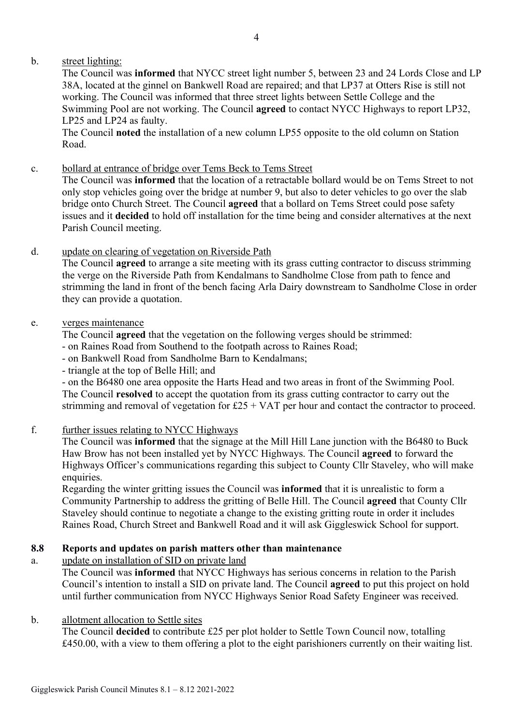# b. street lighting:

The Council was informed that NYCC street light number 5, between 23 and 24 Lords Close and LP 38A, located at the ginnel on Bankwell Road are repaired; and that LP37 at Otters Rise is still not working. The Council was informed that three street lights between Settle College and the Swimming Pool are not working. The Council agreed to contact NYCC Highways to report LP32, LP25 and LP24 as faulty.

The Council noted the installation of a new column LP55 opposite to the old column on Station Road.

c. bollard at entrance of bridge over Tems Beck to Tems Street

The Council was informed that the location of a retractable bollard would be on Tems Street to not only stop vehicles going over the bridge at number 9, but also to deter vehicles to go over the slab bridge onto Church Street. The Council agreed that a bollard on Tems Street could pose safety issues and it decided to hold off installation for the time being and consider alternatives at the next Parish Council meeting.

d. update on clearing of vegetation on Riverside Path

The Council agreed to arrange a site meeting with its grass cutting contractor to discuss strimming the verge on the Riverside Path from Kendalmans to Sandholme Close from path to fence and strimming the land in front of the bench facing Arla Dairy downstream to Sandholme Close in order they can provide a quotation.

## e. verges maintenance

The Council agreed that the vegetation on the following verges should be strimmed:

- on Raines Road from Southend to the footpath across to Raines Road;
- on Bankwell Road from Sandholme Barn to Kendalmans;
- triangle at the top of Belle Hill; and

- on the B6480 one area opposite the Harts Head and two areas in front of the Swimming Pool. The Council resolved to accept the quotation from its grass cutting contractor to carry out the strimming and removal of vegetation for  $£25 + VAT$  per hour and contact the contractor to proceed.

f. further issues relating to NYCC Highways

The Council was informed that the signage at the Mill Hill Lane junction with the B6480 to Buck Haw Brow has not been installed yet by NYCC Highways. The Council agreed to forward the Highways Officer's communications regarding this subject to County Cllr Staveley, who will make enquiries.

Regarding the winter gritting issues the Council was informed that it is unrealistic to form a Community Partnership to address the gritting of Belle Hill. The Council agreed that County Cllr Staveley should continue to negotiate a change to the existing gritting route in order it includes Raines Road, Church Street and Bankwell Road and it will ask Giggleswick School for support.

## 8.8 Reports and updates on parish matters other than maintenance

a. update on installation of SID on private land

The Council was informed that NYCC Highways has serious concerns in relation to the Parish Council's intention to install a SID on private land. The Council agreed to put this project on hold until further communication from NYCC Highways Senior Road Safety Engineer was received.

## b. allotment allocation to Settle sites

The Council decided to contribute £25 per plot holder to Settle Town Council now, totalling £450.00, with a view to them offering a plot to the eight parishioners currently on their waiting list.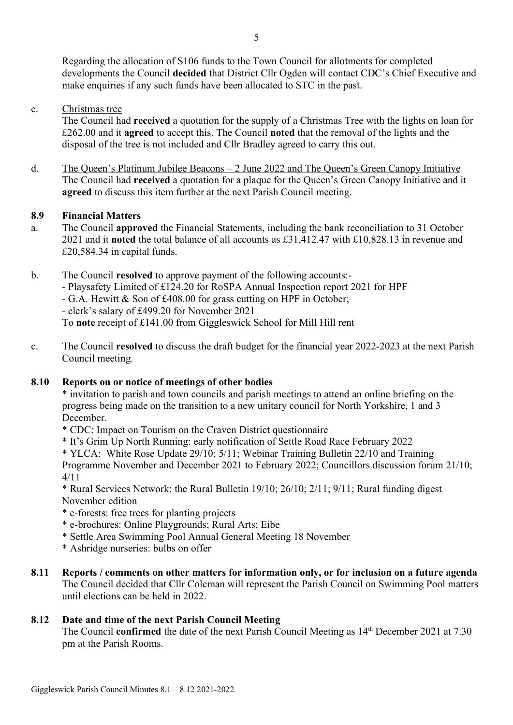Regarding the allocation of S106 funds to the Town Council for allotments for completed developments the Council decided that District Cllr Ogden will contact CDC's Chief Executive and make enquiries if any such funds have been allocated to STC in the past.

c. Christmas tree

The Council had received a quotation for the supply of a Christmas Tree with the lights on loan for £262.00 and it agreed to accept this. The Council noted that the removal of the lights and the disposal of the tree is not included and Cllr Bradley agreed to carry this out.

d. The Queen's Platinum Jubilee Beacons – 2 June 2022 and The Queen's Green Canopy Initiative The Council had received a quotation for a plaque for the Queen's Green Canopy Initiative and it agreed to discuss this item further at the next Parish Council meeting.

#### 8.9 Financial Matters

- a. The Council approved the Financial Statements, including the bank reconciliation to 31 October 2021 and it noted the total balance of all accounts as £31,412.47 with £10,828.13 in revenue and £20,584.34 in capital funds.
- b. The Council resolved to approve payment of the following accounts:- - Playsafety Limited of £124.20 for RoSPA Annual Inspection report 2021 for HPF - G.A. Hewitt & Son of £408.00 for grass cutting on HPF in October; - clerk's salary of £499.20 for November 2021 To note receipt of £141.00 from Giggleswick School for Mill Hill rent
- c. The Council resolved to discuss the draft budget for the financial year 2022-2023 at the next Parish Council meeting.

#### 8.10 Reports on or notice of meetings of other bodies

\* invitation to parish and town councils and parish meetings to attend an online briefing on the progress being made on the transition to a new unitary council for North Yorkshire, 1 and 3 December.

- \* CDC: Impact on Tourism on the Craven District questionnaire
- \* It's Grim Up North Running: early notification of Settle Road Race February 2022
- \* YLCA: White Rose Update 29/10; 5/11; Webinar Training Bulletin 22/10 and Training

Programme November and December 2021 to February 2022; Councillors discussion forum 21/10; 4/11

\* Rural Services Network: the Rural Bulletin 19/10; 26/10; 2/11; 9/11; Rural funding digest November edition

- \* e-forests: free trees for planting projects
- \* e-brochures: Online Playgrounds; Rural Arts; Eibe
- \* Settle Area Swimming Pool Annual General Meeting 18 November
- \* Ashridge nurseries: bulbs on offer
- 8.11 Reports / comments on other matters for information only, or for inclusion on a future agenda The Council decided that Cllr Coleman will represent the Parish Council on Swimming Pool matters until elections can be held in 2022.

#### 8.12 Date and time of the next Parish Council Meeting

The Council confirmed the date of the next Parish Council Meeting as  $14<sup>th</sup>$  December 2021 at 7.30 pm at the Parish Rooms.